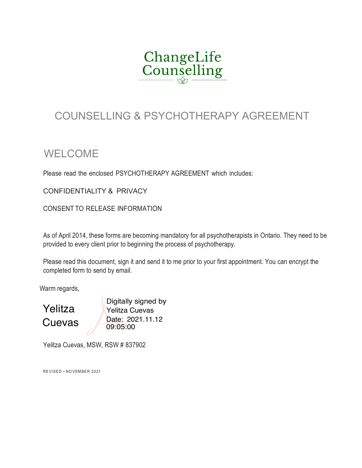

### COUNSELLING & PSYCHOTHERAPY AGREEMENT

### WELCOME

Please read the enclosed PSYCHOTHERAPY AGREEMENT which includes:

CONFIDENTIALITY & PRIVACY

CONSENT TO RELEASE INFORMATION

As of April 2014, these forms are becoming mandatory for all psychotherapists in Ontario. They need to be provided to every client prior to beginning the process of psychotherapy.

Please read this document, sign it and send it to me prior to your first appointment. You can encrypt the completed form to send by email.

Warm regards,

Yelitza

Digitally signed by Yelitza Cuevas Cuevas Date: 2021.11.12 09:05:00

Yelitza Cuevas, MSW, RSW # 837902

REVISED • NOVEMBER 2021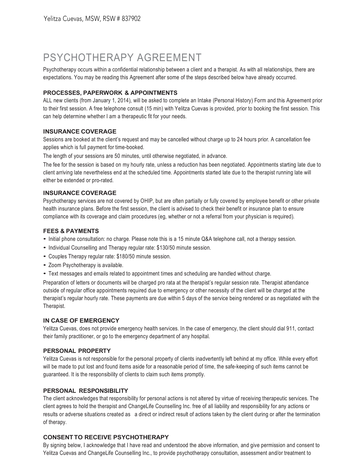### PSYCHOTHERAPY AGREEMENT

Psychotherapy occurs within a confidential relationship between a client and a therapist. As with all relationships, there are expectations. You may be reading this Agreement after some of the steps described below have already occurred.

### **PROCESSES, PAPERWORK & APPOINTMENTS**

ALL new clients (from January 1, 2014), will be asked to complete an Intake (Personal History) Form and this Agreement prior to their first session. A free telephone consult (15 min) with Yelitza Cuevas is provided, prior to booking the first session. This can help determine whether I am a therapeutic fit for your needs.

#### **INSURANCE COVERAGE**

Sessions are booked at the client's request and may be cancelled without charge up to 24 hours prior. A cancellation fee applies which is full payment for time-booked.

The length of your sessions are 50 minutes, until otherwise negotiated, in advance.

The fee for the session is based on my hourly rate, unless a reduction has been negotiated. Appointments starting late due to client arriving late nevertheless end at the scheduled time. Appointments started late due to the therapist running late will either be extended or pro-rated.

#### **INSURANCE COVERAGE**

Psychotherapy services are not covered by OHIP, but are often partially or fully covered by employee benefit or other private health insurance plans. Before the first session, the client is advised to check their benefit or insurance plan to ensure compliance with its coverage and claim procedures (eg, whether or not a referral from your physician is required).

#### **FEES & PAYMENTS**

- Initial phone consultation: no charge. Please note this is <sup>a</sup> <sup>15</sup> minute Q&A telephone call, not <sup>a</sup> therapy session.
- Individual Counselling and Therapy regular rate: \$130/50 minute session.
- Couples Therapy regular rate: \$180/50 minute session.
- Zoom Psychotherapy is available.
- Text messages and emails related to appointment times and scheduling are handled without charge.

Preparation of letters or documents will be charged pro rata at the therapist's regular session rate. Therapist attendance outside of regular office appointments required due to emergency or other necessity of the client will be charged at the therapist's regular hourly rate. These payments are due within 5 days of the service being rendered or as negotiated with the Therapist.

#### **IN CASE OF EMERGENCY**

Yelitza Cuevas, does not provide emergency health services. In the case of emergency, the client should dial 911, contact their family practitioner, or go to the emergency department of any hospital.

#### **PERSONAL PROPERTY**

Yelitza Cuevas is not responsible for the personal property of clients inadvertently left behind at my office. While every effort will be made to put lost and found items aside for a reasonable period of time, the safe-keeping of such items cannot be guaranteed. It is the responsibility of clients to claim such items promptly.

#### **PERSONAL RESPONSIBILITY**

The client acknowledges that responsibility for personal actions is not altered by virtue of receiving therapeutic services. The client agrees to hold the therapist and ChangeLife Counselling Inc. free of all liability and responsibility for any actions or results or adverse situations created as a direct or indirect result of actions taken by the client during or after the termination of therapy.

#### **CONSENTTO RECEIVE PSYCHOTHERAPY**

By signing below, I acknowledge that I have read and understood the above information, and give permission and consent to Yelitza Cuevas and ChangeLife Counselling Inc., to provide psychotherapy consultation, assessment and/or treatment to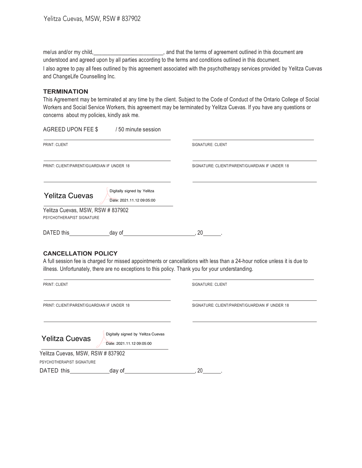me/us and/or my child, \_\_\_\_\_\_\_\_\_\_\_\_\_\_\_\_\_\_\_\_\_\_\_, and that the terms of agreement outlined in this document are understood and agreed upon by all parties according to the terms and conditions outlined in this document. I also agree to pay all fees outlined by this agreement associated with the psychotherapy services provided by Yelitza Cuevas and ChangeLife Counselling Inc.

#### **TERMINATION**

This Agreement may be terminated at any time by the client. Subject to the Code of Conduct of the Ontario College of Social Workers and Social Service Workers, this agreement may be terminated by Yelitza Cuevas. If you have any questions or concerns about my policies, kindly ask me.

| AGREED UPON FEE \$                                             | /50 minute session                                                                                |                                                                                                                            |  |
|----------------------------------------------------------------|---------------------------------------------------------------------------------------------------|----------------------------------------------------------------------------------------------------------------------------|--|
| PRINT: CLIENT                                                  |                                                                                                   | SIGNATURE: CLIENT                                                                                                          |  |
| PRINT: CLIENT/PARENT/GUARDIAN IF UNDER 18                      |                                                                                                   | SIGNATURE: CLIENT/PARENT/GUARDIAN IF UNDER 18                                                                              |  |
| <b>Yelitza Cuevas</b>                                          | Digitally signed by Yelitza<br>Date: 2021.11.12 09:05:00                                          |                                                                                                                            |  |
| Yelitza Cuevas, MSW, RSW # 837902<br>PSYCHOTHERAPIST SIGNATURE |                                                                                                   |                                                                                                                            |  |
|                                                                |                                                                                                   |                                                                                                                            |  |
|                                                                | illness. Unfortunately, there are no exceptions to this policy. Thank you for your understanding. | A full session fee is charged for missed appointments or cancellations with less than a 24-hour notice unless it is due to |  |
| PRINT: CLIENT                                                  |                                                                                                   | SIGNATURE: CLIENT                                                                                                          |  |
| PRINT: CLIENT/PARENT/GUARDIAN IF UNDER 18                      |                                                                                                   | SIGNATURE: CLIENT/PARENT/GUARDIAN IF UNDER 18                                                                              |  |
| <b>Yelitza Cuevas</b>                                          | Digitally signed by Yelitza Cuevas<br>Date: 2021.11.12 09:05:00                                   |                                                                                                                            |  |
| Yelitza Cuevas, MSW, RSW # 837902                              |                                                                                                   |                                                                                                                            |  |
| PSYCHOTHERAPIST SIGNATURE                                      |                                                                                                   |                                                                                                                            |  |

DATED this day of , 20 .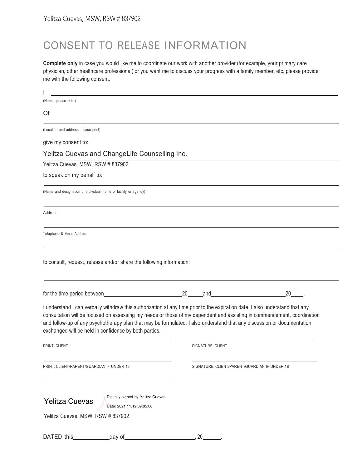## CONSENT TO RELEASE INFORMATION

**Complete only** in case you would like me to coordinate our work with another provider (for example, your primary care physician, other healthcare professional) or you want me to discuss your progress with a family member, etc, please provide me with the following consent:

| (Name, please print)                                                                                                                                                                                                                                                                                                                                                                                                                       |                          |                                               |
|--------------------------------------------------------------------------------------------------------------------------------------------------------------------------------------------------------------------------------------------------------------------------------------------------------------------------------------------------------------------------------------------------------------------------------------------|--------------------------|-----------------------------------------------|
| Of                                                                                                                                                                                                                                                                                                                                                                                                                                         |                          |                                               |
| (Location and address, please print)                                                                                                                                                                                                                                                                                                                                                                                                       |                          |                                               |
| give my consent to:                                                                                                                                                                                                                                                                                                                                                                                                                        |                          |                                               |
| Yelitza Cuevas and ChangeLife Counselling Inc.                                                                                                                                                                                                                                                                                                                                                                                             |                          |                                               |
| Yelitza Cuevas, MSW, RSW # 837902                                                                                                                                                                                                                                                                                                                                                                                                          |                          |                                               |
| to speak on my behalf to:                                                                                                                                                                                                                                                                                                                                                                                                                  |                          |                                               |
| (Name and designation of individual; name of facility or agency)                                                                                                                                                                                                                                                                                                                                                                           |                          |                                               |
| Address                                                                                                                                                                                                                                                                                                                                                                                                                                    |                          |                                               |
| Telephone & Email Address                                                                                                                                                                                                                                                                                                                                                                                                                  |                          |                                               |
|                                                                                                                                                                                                                                                                                                                                                                                                                                            |                          | $20$ .                                        |
| I understand I can verbally withdraw this authorization at any time prior to the expiration date. I also understand that any<br>consultation will be focused on assessing my needs or those of my dependent and assisting in commencement, coordination<br>and follow-up of any psychotherapy plan that may be formulated. I also understand that any discussion or documentation<br>exchanged will be held in confidence by both parties. |                          |                                               |
| <b>PRINT: CLIENT</b>                                                                                                                                                                                                                                                                                                                                                                                                                       | <b>SIGNATURE: CLIENT</b> |                                               |
| PRINT: CLIENT/PARENT/GUARDIAN IF UNDER 18                                                                                                                                                                                                                                                                                                                                                                                                  |                          | SIGNATURE: CLIENT/PARENT/GUARDIAN IF UNDER 18 |
| Digitally signed by Yelitza Cuevas<br><b>Yelitza Cuevas</b><br>Date: 2021.11.12 09:05:00                                                                                                                                                                                                                                                                                                                                                   |                          |                                               |
| Yelitza Cuevas, MSW, RSW # 837902                                                                                                                                                                                                                                                                                                                                                                                                          |                          |                                               |
|                                                                                                                                                                                                                                                                                                                                                                                                                                            |                          |                                               |

| DATED this | dav of | ንቦ<br>∠∪ |
|------------|--------|----------|
|            |        |          |